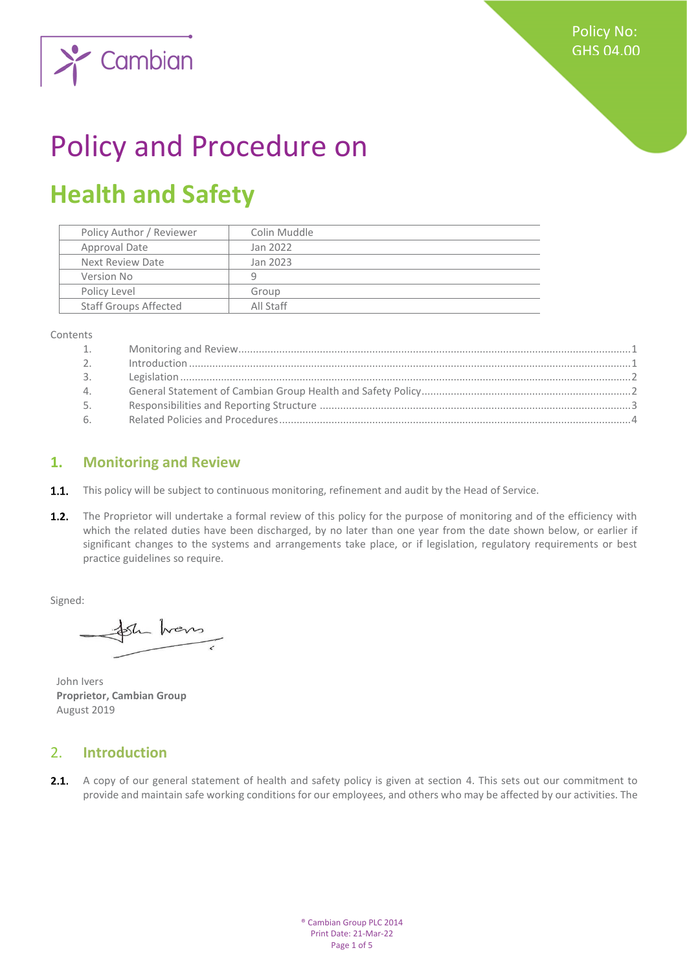

# Policy and Procedure on

## **Health and Safety**

| Policy Author / Reviewer     | Colin Muddle |
|------------------------------|--------------|
| Approval Date                | Jan 2022     |
| Next Review Date             | Jan 2023     |
| Version No                   | q            |
| Policy Level                 | Group        |
| <b>Staff Groups Affected</b> | All Staff    |
|                              |              |

Contents

| 1.             |  |
|----------------|--|
| 2 <sub>1</sub> |  |
| 3.             |  |
| 4.             |  |
| 5.             |  |
| 6.             |  |

#### <span id="page-0-0"></span>**1. Monitoring and Review**

- **1.1.** This policy will be subject to continuous monitoring, refinement and audit by the Head of Service.
- $1.2.$ The Proprietor will undertake a formal review of this policy for the purpose of monitoring and of the efficiency with which the related duties have been discharged, by no later than one year from the date shown below, or earlier if significant changes to the systems and arrangements take place, or if legislation, regulatory requirements or best practice guidelines so require.

Signed:

Sh hans

John Ivers **Proprietor, Cambian Group** August 2019

#### <span id="page-0-1"></span>2. **Introduction**

2.1. A copy of our general statement of health and safety policy is given at section 4. This sets out our commitment to provide and maintain safe working conditions for our employees, and others who may be affected by our activities. The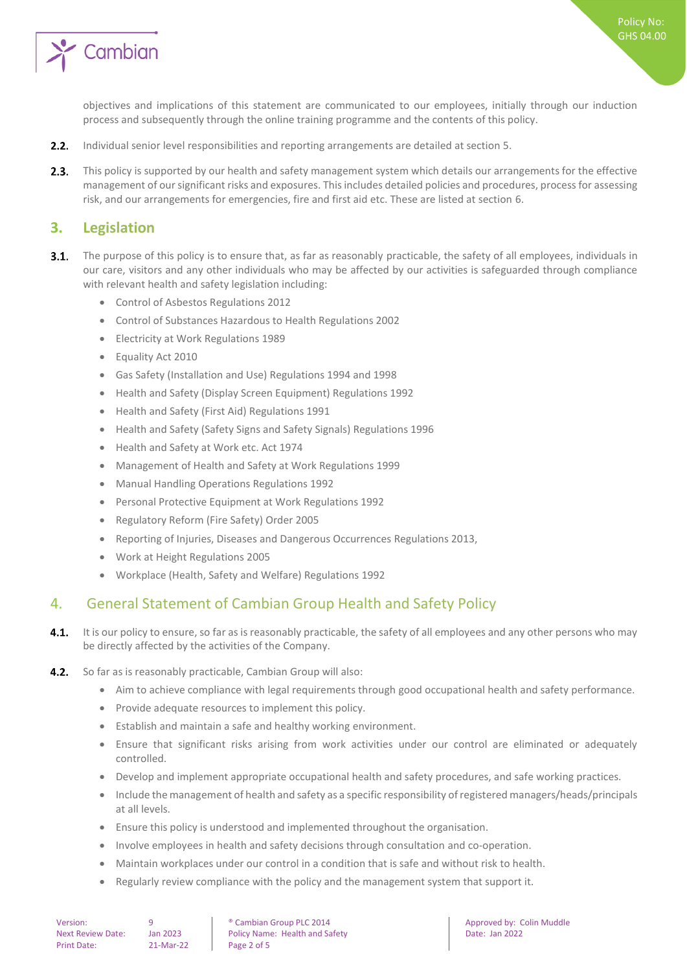

Policy No: GHS 04.00

objectives and implications of this statement are communicated to our employees, initially through our induction process and subsequently through the online training programme and the contents of this policy.

- $2.2.$ Individual senior level responsibilities and reporting arrangements are detailed at section 5.
- $2.3.$ This policy is supported by our health and safety management system which details our arrangements for the effective management of our significant risks and exposures. This includes detailed policies and procedures, process for assessing risk, and our arrangements for emergencies, fire and first aid etc. These are listed at section 6.

#### <span id="page-1-0"></span>**3. Legislation**

- $3.1.$ The purpose of this policy is to ensure that, as far as reasonably practicable, the safety of all employees, individuals in our care, visitors and any other individuals who may be affected by our activities is safeguarded through compliance with relevant health and safety legislation including:
	- Control of Asbestos Regulations 2012
	- Control of Substances Hazardous to Health Regulations 2002
	- Electricity at Work Regulations 1989
	- Equality Act 2010
	- Gas Safety (Installation and Use) Regulations 1994 and 1998
	- Health and Safety (Display Screen Equipment) Regulations 1992
	- Health and Safety (First Aid) Regulations 1991
	- Health and Safety (Safety Signs and Safety Signals) Regulations 1996
	- Health and Safety at Work etc. Act 1974
	- Management of Health and Safety at Work Regulations 1999
	- Manual Handling Operations Regulations 1992
	- Personal Protective Equipment at Work Regulations 1992
	- Regulatory Reform (Fire Safety) Order 2005
	- Reporting of Injuries, Diseases and Dangerous Occurrences Regulations 2013,
	- Work at Height Regulations 2005
	- Workplace (Health, Safety and Welfare) Regulations 1992

#### <span id="page-1-1"></span>4. General Statement of Cambian Group Health and Safety Policy

- $4.1.$ It is our policy to ensure, so far as is reasonably practicable, the safety of all employees and any other persons who may be directly affected by the activities of the Company.
- $4.2.$ So far as is reasonably practicable, Cambian Group will also:
	- Aim to achieve compliance with legal requirements through good occupational health and safety performance.
	- Provide adequate resources to implement this policy.
	- Establish and maintain a safe and healthy working environment.
	- Ensure that significant risks arising from work activities under our control are eliminated or adequately controlled.
	- Develop and implement appropriate occupational health and safety procedures, and safe working practices.
	- Include the management of health and safety as a specific responsibility of registered managers/heads/principals at all levels.
	- Ensure this policy is understood and implemented throughout the organisation.
	- Involve employees in health and safety decisions through consultation and co-operation.
	- Maintain workplaces under our control in a condition that is safe and without risk to health.
	- Regularly review compliance with the policy and the management system that support it.

Version: 9 9 | ® Cambian Group PLC 2014 | Approved by: Colin Muddle<br>Next Review Date: Ian 2023 Policy Name: Health and Safety | Date: Ian 2022 Next Review Date: Jan 2023 | Policy Name: Health and Safety | Date: Jan 2022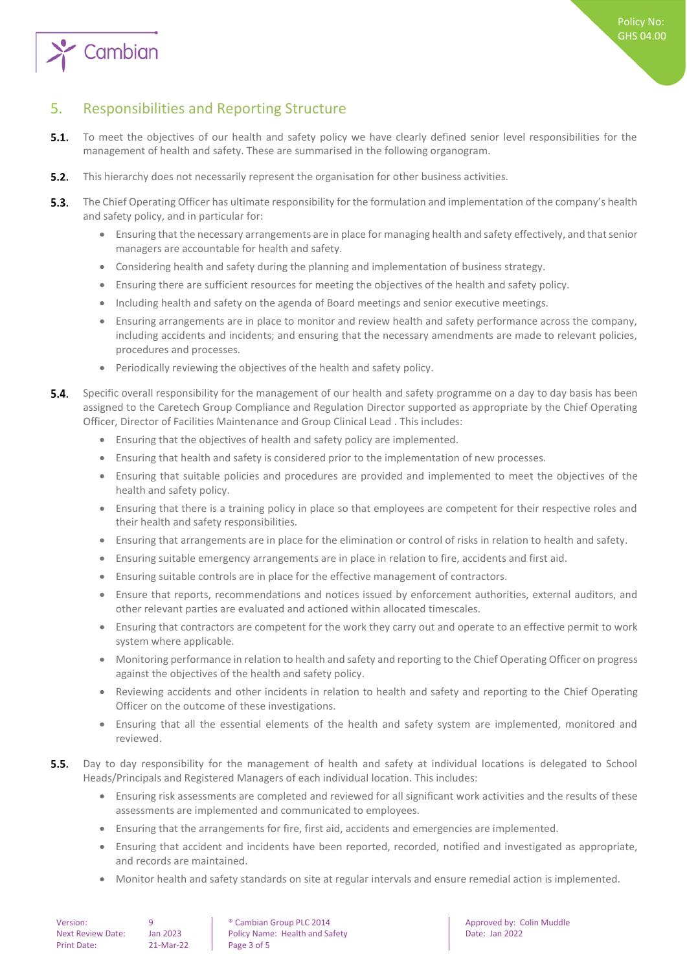

### <span id="page-2-0"></span>5. Responsibilities and Reporting Structure

- $5.1.$ To meet the objectives of our health and safety policy we have clearly defined senior level responsibilities for the management of health and safety. These are summarised in the following organogram.
- $5.2.$ This hierarchy does not necessarily represent the organisation for other business activities.
- $5.3.$ The Chief Operating Officer has ultimate responsibility for the formulation and implementation of the company's health and safety policy, and in particular for:
	- Ensuring that the necessary arrangements are in place for managing health and safety effectively, and that senior managers are accountable for health and safety.
	- Considering health and safety during the planning and implementation of business strategy.
	- Ensuring there are sufficient resources for meeting the objectives of the health and safety policy.
	- Including health and safety on the agenda of Board meetings and senior executive meetings.
	- Ensuring arrangements are in place to monitor and review health and safety performance across the company, including accidents and incidents; and ensuring that the necessary amendments are made to relevant policies, procedures and processes.
	- Periodically reviewing the objectives of the health and safety policy.
- 54 Specific overall responsibility for the management of our health and safety programme on a day to day basis has been assigned to the Caretech Group Compliance and Regulation Director supported as appropriate by the Chief Operating Officer, Director of Facilities Maintenance and Group Clinical Lead . This includes:
	- Ensuring that the objectives of health and safety policy are implemented.
	- Ensuring that health and safety is considered prior to the implementation of new processes.
	- Ensuring that suitable policies and procedures are provided and implemented to meet the objectives of the health and safety policy.
	- Ensuring that there is a training policy in place so that employees are competent for their respective roles and their health and safety responsibilities.
	- Ensuring that arrangements are in place for the elimination or control of risks in relation to health and safety.
	- Ensuring suitable emergency arrangements are in place in relation to fire, accidents and first aid.
	- Ensuring suitable controls are in place for the effective management of contractors.
	- Ensure that reports, recommendations and notices issued by enforcement authorities, external auditors, and other relevant parties are evaluated and actioned within allocated timescales.
	- Ensuring that contractors are competent for the work they carry out and operate to an effective permit to work system where applicable.
	- Monitoring performance in relation to health and safety and reporting to the Chief Operating Officer on progress against the objectives of the health and safety policy.
	- Reviewing accidents and other incidents in relation to health and safety and reporting to the Chief Operating Officer on the outcome of these investigations.
	- Ensuring that all the essential elements of the health and safety system are implemented, monitored and reviewed.
- $5.5.$ Day to day responsibility for the management of health and safety at individual locations is delegated to School Heads/Principals and Registered Managers of each individual location. This includes:
	- Ensuring risk assessments are completed and reviewed for all significant work activities and the results of these assessments are implemented and communicated to employees.
	- Ensuring that the arrangements for fire, first aid, accidents and emergencies are implemented.
	- Ensuring that accident and incidents have been reported, recorded, notified and investigated as appropriate, and records are maintained.
	- Monitor health and safety standards on site at regular intervals and ensure remedial action is implemented.

| Version:                 |  |
|--------------------------|--|
| <b>Next Review Date:</b> |  |
| <b>Print Date:</b>       |  |

 $P^2$ -Mar-22 Page 3 of 5

• Cambian Group PLC 2014 **Approved by: Colin Muddle** Ian 2023 Policy Name: Health and Safety Name Date: Jan 2022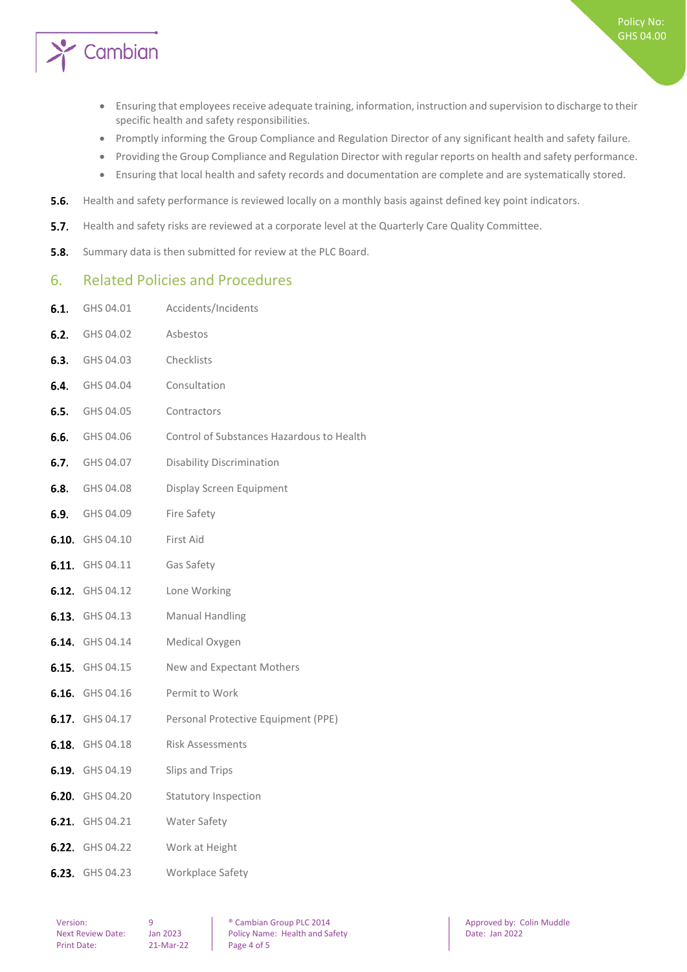

- Ensuring that employees receive adequate training, information, instruction and supervision to discharge to their specific health and safety responsibilities.
- Promptly informing the Group Compliance and Regulation Director of any significant health and safety failure.
- Providing the Group Compliance and Regulation Director with regular reports on health and safety performance.
- Ensuring that local health and safety records and documentation are complete and are systematically stored.
- $5.6.$ Health and safety performance is reviewed locally on a monthly basis against defined key point indicators.
- $5.7.$ Health and safety risks are reviewed at a corporate level at the Quarterly Care Quality Committee.
- <span id="page-3-0"></span> $5.8.$ Summary data is then submitted for review at the PLC Board.

#### 6. Related Policies and Procedures

6.1. GHS 04.01 Accidents/Incidents

| <b>6.2.</b> GHS 04.02  | Asbestos                                                   |
|------------------------|------------------------------------------------------------|
| <b>6.3.</b> GHS 04.03  | Checklists                                                 |
| 6.4. GHS 04.04         | Consultation                                               |
| <b>6.5.</b> GHS 04.05  | Contractors                                                |
| <b>6.6.</b> GHS 04.06  | Control of Substances Hazardous to Health                  |
| <b>6.7.</b> GHS 04.07  | <b>Disability Discrimination</b>                           |
| <b>6.8.</b> GHS 04.08  | Display Screen Equipment                                   |
| <b>6.9.</b> GHS 04.09  | Fire Safety                                                |
| 6.10. GHS 04.10        | First Aid                                                  |
| 6.11. GHS 04.11        | Gas Safety                                                 |
| 6.12. GHS 04.12        | Lone Working                                               |
| 6.13. GHS 04.13        | <b>Manual Handling</b>                                     |
| <b>6.14.</b> GHS 04.14 | Medical Oxygen                                             |
| <b>6.15.</b> GHS 04.15 | New and Expectant Mothers                                  |
| <b>6.16.</b> GHS 04.16 | Permit to Work                                             |
|                        | <b>6.17.</b> GHS 04.17 Personal Protective Equipment (PPE) |
| <b>6.18.</b> GHS 04.18 | <b>Risk Assessments</b>                                    |
| 6.19. GHS 04.19        | Slips and Trips                                            |
| 6.20. GHS 04.20        | <b>Statutory Inspection</b>                                |
| <b>6.21.</b> GHS 04.21 | Water Safety                                               |
| <b>6.22.</b> GHS 04.22 | Work at Height                                             |
| 6.23. GHS 04.23        | Workplace Safety                                           |